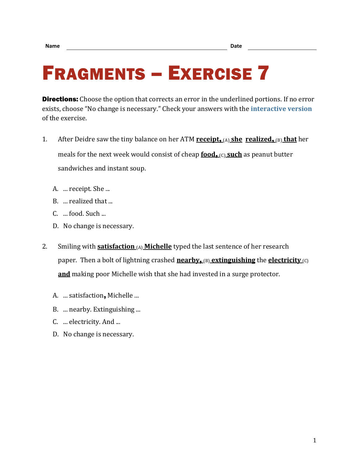## FRAGMENTS – EXERCISE 7

**Directions:** Choose the option that corrects an error in the underlined portions. If no error exists, choose "No change is necessary." Check your answers with the **[interactive version](https://chompchomp.com/frag07/)** of the exercise.

- 1. After Deidre saw the tiny balance on her ATM **receipt**, (A) **she realized**, (B) **that** her meals for the next week would consist of cheap **food**, (c) such as peanut butter sandwiches and instant soup.
	- A. ... receipt. She ...
	- B. ... realized that ...
	- C. ... food. Such ...
	- D. No change is necessary.
- 2. Smiling with **satisfaction** (A) **Michelle** typed the last sentence of her research paper. Then a bolt of lightning crashed **nearby**,  $(B)$  **extinguishing** the **electricity**  $(C)$ **and** making poor Michelle wish that she had invested in a surge protector.
	- A. ... satisfaction, Michelle ...
	- B. ... nearby. Extinguishing ...
	- C. ... electricity. And ...
	- D. No change is necessary.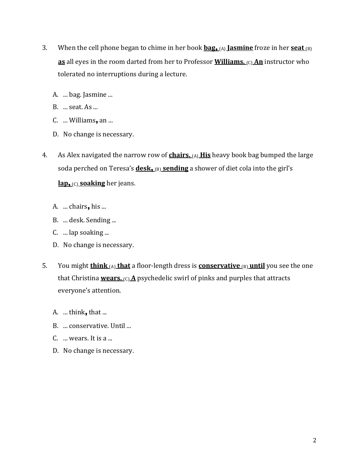- 3. When the cell phone began to chime in her book **bag**, (A) **Jasmine** froze in her **seat** (B) **as** all eyes in the room darted from her to Professor **Williams.**  $\alpha$  **An** instructor who tolerated no interruptions during a lecture.
	- A. ... bag. Jasmine ...
	- B. ... seat. As ...
	- C. ... Williams, an ...
	- D. No change is necessary.
- 4. As Alex navigated the narrow row of **chairs.** (A) **His** heavy book bag bumped the large soda perched on Teresa's **desk**, (B) **sending** a shower of diet cola into the girl's **lap**, (C) **soaking** her jeans.
	- A. ... chairs, his ...
	- B. ... desk. Sending ...
	- C. ... lap soaking ...
	- D. No change is necessary.
- 5. You might **think** (A) **that** a floor-length dress is **conservative** (B) **until** you see the one that Christina **wears.** (c) **A** psychedelic swirl of pinks and purples that attracts everyone's attention.
	- A.  $\dots$  think, that  $\dots$
	- B. ... conservative. Until ...
	- C. ... wears. It is a ...
	- D. No change is necessary.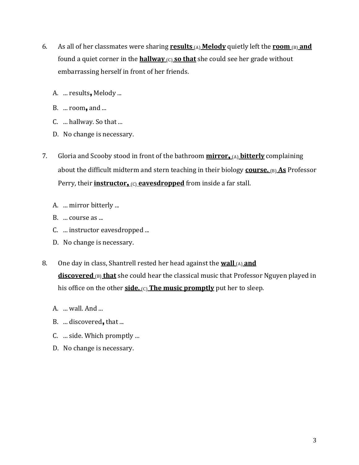- 6. As all of her classmates were sharing **results**  $(A)$  **Melody** quietly left the **room**  $(B)$  and found a quiet corner in the **hallway** (C) **so that** she could see her grade without embarrassing herself in front of her friends.
	- A. ... results, Melody ...
	- B. ... room, and ...
	- C. ... hallway. So that ...
	- D. No change is necessary.
- 7. Gloria and Scooby stood in front of the bathroom **mirror**, (A) **bitterly** complaining about the difficult midterm and stern teaching in their biology **course.** (B) As Professor Perry, their **instructor,** (c) **eavesdropped** from inside a far stall.
	- A. ... mirror bitterly ...
	- B. ... course as ...
	- C. ... instructor eavesdropped ...
	- D. No change is necessary.
- 8. One day in class, Shantrell rested her head against the **wall** (A) **and discovered (B)** that she could hear the classical music that Professor Nguyen played in his office on the other **side.** (c) **The music promptly** put her to sleep.
	- A. ... wall. And ...
	- B. ... discovered, that ...
	- C. ... side. Which promptly ...
	- D. No change is necessary.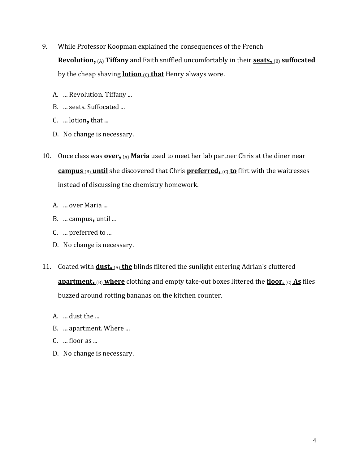- 9. While Professor Koopman explained the consequences of the French **Revolution.** (A) **Tiffany** and Faith sniffled uncomfortably in their **seats.** (B) **suffocated** by the cheap shaving **lotion**  $(C)$  that Henry always wore.
	- A. ... Revolution. Tiffany ...
	- B. ... seats. Suffocated ...
	- C. ... lotion, that ...
	- D. No change is necessary.
- 10. Once class was **over**, (A) **Maria** used to meet her lab partner Chris at the diner near **campus** (B) **until** she discovered that Chris **preferred**, (C) **to** flirt with the waitresses instead of discussing the chemistry homework.
	- A. ... over Maria ...
	- B. ... campus, until ...
	- C. ... preferred to ...
	- D. No change is necessary.
- 11. Coated with **dust**<sub>1</sub>(A) the blinds filtered the sunlight entering Adrian's cluttered **apartment, (B) where** clothing and empty take-out boxes littered the **floor.** (C) **As** flies buzzed around rotting bananas on the kitchen counter.
	- A. ... dust the ...
	- B. ... apartment. Where ...
	- C. ... floor as ...
	- D. No change is necessary.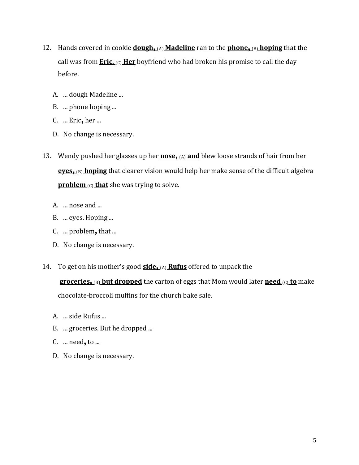- 12. Hands covered in cookie **dough**, (A) **Madeline** ran to the **phone**, (B) **hoping** that the call was from **Eric.** (c) **Her** boyfriend who had broken his promise to call the day before.
	- A. ... dough Madeline ...
	- B. ... phone hoping ...
	- C. ... Eric, her ...
	- D. No change is necessary.
- 13. Wendy pushed her glasses up her **nose**, (A) **and** blew loose strands of hair from her **eyes**, (B) **hoping** that clearer vision would help her make sense of the difficult algebra **problem** (c) **that** she was trying to solve.
	- A. ... nose and ...
	- B. ... eyes. Hoping ...
	- C. ... problem, that ...
	- D. No change is necessary.
- 14. To get on his mother's good **side**, (A) **Rufus** offered to unpack the

**groceries**, (B) **but dropped** the carton of eggs that Mom would later **need** (C) **to** make chocolate-broccoli muffins for the church bake sale.

- A. ... side Rufus ...
- B. ... groceries. But he dropped ...
- C. ... need, to ...
- D. No change is necessary.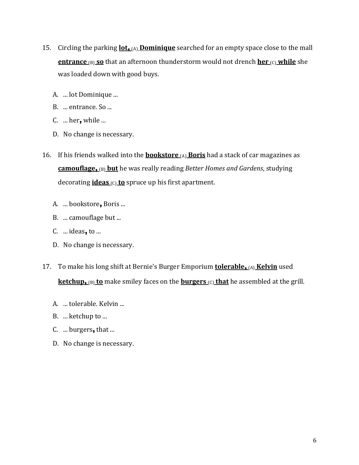- 15. Circling the parking **lot**<sub>1</sub>(A) **Dominique** searched for an empty space close to the mall **entrance**  $(B)$  so that an afternoon thunderstorm would not drench **her**  $(C)$  while she was loaded down with good buys.
	- A. ... lot Dominique ...
	- B. ... entrance. So ...
	- $C.$  ... her, while ...
	- D. No change is necessary.
- 16. If his friends walked into the **bookstore** (A) **Boris** had a stack of car magazines as **camouflage**, (B) **but** he was really reading *Better Homes and Gardens*, studying decorating **ideas** (C) **to** spruce up his first apartment.
	- A. ... bookstore, Boris ...
	- B. ... camouflage but ...
	- C.  $\dots$  ideas, to  $\dots$
	- D. No change is necessary.
- 17. To make his long shift at Bernie's Burger Emporium **tolerable**, (A) **Kelvin** used **ketchup.** (B) **to** make smiley faces on the **burgers** (C) **that** he assembled at the grill.
	- A. ... tolerable. Kelvin ...
	- B. ... ketchup to ...
	- C. ... burgers, that ...
	- D. No change is necessary.